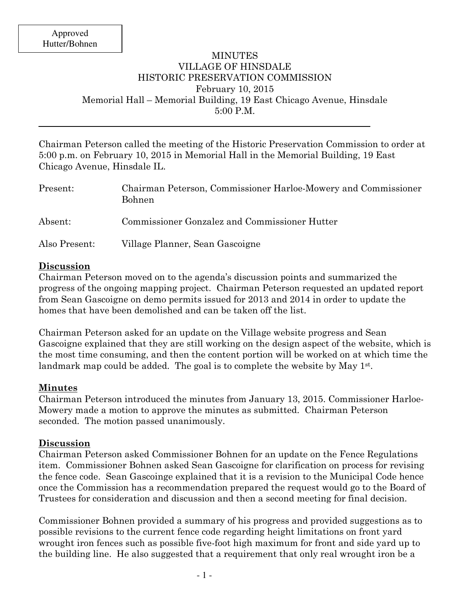## MINUTES VILLAGE OF HINSDALE HISTORIC PRESERVATION COMMISSION February 10, 2015 Memorial Hall – Memorial Building, 19 East Chicago Avenue, Hinsdale 5:00 P.M.

Chairman Peterson called the meeting of the Historic Preservation Commission to order at 5:00 p.m. on February 10, 2015 in Memorial Hall in the Memorial Building, 19 East Chicago Avenue, Hinsdale IL.

| Present:      | Chairman Peterson, Commissioner Harloe-Mowery and Commissioner<br><b>Bohnen</b> |
|---------------|---------------------------------------------------------------------------------|
| Absent:       | Commissioner Gonzalez and Commissioner Hutter                                   |
| Also Present: | Village Planner, Sean Gascoigne                                                 |

### **Discussion**

Chairman Peterson moved on to the agenda's discussion points and summarized the progress of the ongoing mapping project. Chairman Peterson requested an updated report from Sean Gascoigne on demo permits issued for 2013 and 2014 in order to update the homes that have been demolished and can be taken off the list.

Chairman Peterson asked for an update on the Village website progress and Sean Gascoigne explained that they are still working on the design aspect of the website, which is the most time consuming, and then the content portion will be worked on at which time the landmark map could be added. The goal is to complete the website by May 1<sup>st</sup>.

### **Minutes**

Chairman Peterson introduced the minutes from January 13, 2015. Commissioner Harloe-Mowery made a motion to approve the minutes as submitted. Chairman Peterson seconded. The motion passed unanimously.

### **Discussion**

Chairman Peterson asked Commissioner Bohnen for an update on the Fence Regulations item. Commissioner Bohnen asked Sean Gascoigne for clarification on process for revising the fence code. Sean Gascoinge explained that it is a revision to the Municipal Code hence once the Commission has a recommendation prepared the request would go to the Board of Trustees for consideration and discussion and then a second meeting for final decision.

Commissioner Bohnen provided a summary of his progress and provided suggestions as to possible revisions to the current fence code regarding height limitations on front yard wrought iron fences such as possible five-foot high maximum for front and side yard up to the building line. He also suggested that a requirement that only real wrought iron be a